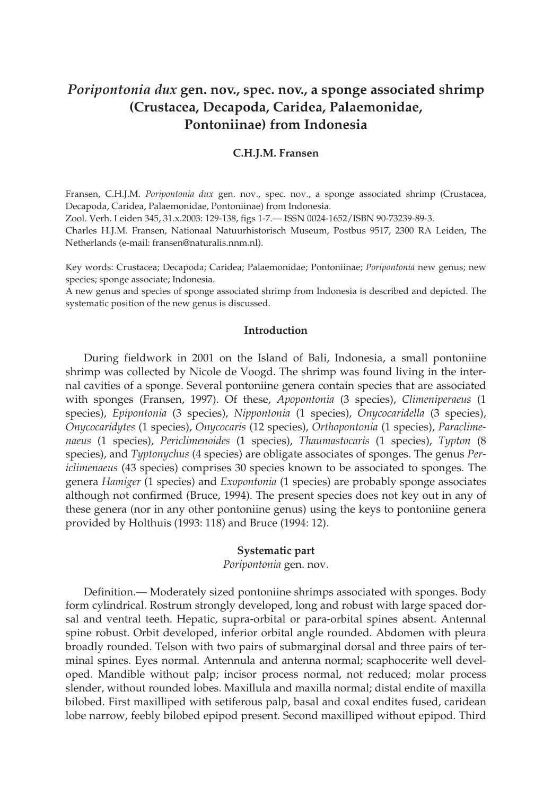# *Poripontonia dux* **gen. nov., spec. nov., a sponge associated shrimp (Crustacea, Decapoda, Caridea, Palaemonidae, Pontoniinae) from Indonesia**

## **C.H.J.M. Fransen**

Fransen, C.H.J.M. *Poripontonia dux* gen. nov., spec. nov., a sponge associated shrimp (Crustacea, Decapoda, Caridea, Palaemonidae, Pontoniinae) from Indonesia.

Zool. Verh. Leiden 345, 31.x.2003: 129-138, figs 1-7.— ISSN 0024-1652/ISBN 90-73239-89-3.

Charles H.J.M. Fransen, Nationaal Natuurhistorisch Museum, Postbus 9517, 2300 RA Leiden, The Netherlands (e-mail: fransen@naturalis.nnm.nl).

Key words: Crustacea; Decapoda; Caridea; Palaemonidae; Pontoniinae; *Poripontonia* new genus; new species; sponge associate; Indonesia.

A new genus and species of sponge associated shrimp from Indonesia is described and depicted. The systematic position of the new genus is discussed.

### **Introduction**

During fieldwork in 2001 on the Island of Bali, Indonesia, a small pontoniine shrimp was collected by Nicole de Voogd. The shrimp was found living in the internal cavities of a sponge. Several pontoniine genera contain species that are associated with sponges (Fransen, 1997). Of these, *Apopontonia* (3 species), *Climeniperaeus* (1 species), *Epipontonia* (3 species), *Nippontonia* (1 species), *Onycocaridella* (3 species), *Onycocaridytes* (1 species), *Onycocaris* (12 species), *Orthopontonia* (1 species), *Paraclimenaeus* (1 species), *Periclimenoides* (1 species), *Thaumastocaris* (1 species), *Typton* (8 species), and *Typtonychus* (4 species) are obligate associates of sponges. The genus *Periclimenaeus* (43 species) comprises 30 species known to be associated to sponges. The genera *Hamiger* (1 species) and *Exopontonia* (1 species) are probably sponge associates although not confirmed (Bruce, 1994). The present species does not key out in any of these genera (nor in any other pontoniine genus) using the keys to pontoniine genera provided by Holthuis (1993: 118) and Bruce (1994: 12).

#### **Systematic part**

*Poripontonia* gen. nov.

Definition.— Moderately sized pontoniine shrimps associated with sponges. Body form cylindrical. Rostrum strongly developed, long and robust with large spaced dorsal and ventral teeth. Hepatic, supra-orbital or para-orbital spines absent. Antennal spine robust. Orbit developed, inferior orbital angle rounded. Abdomen with pleura broadly rounded. Telson with two pairs of submarginal dorsal and three pairs of terminal spines. Eyes normal. Antennula and antenna normal; scaphocerite well developed. Mandible without palp; incisor process normal, not reduced; molar process slender, without rounded lobes. Maxillula and maxilla normal; distal endite of maxilla bilobed. First maxilliped with setiferous palp, basal and coxal endites fused, caridean lobe narrow, feebly bilobed epipod present. Second maxilliped without epipod. Third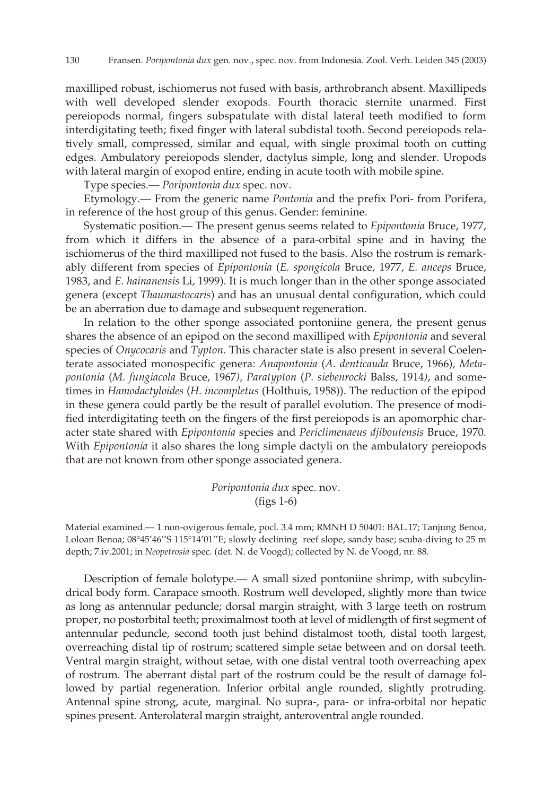maxilliped robust, ischiomerus not fused with basis, arthrobranch absent. Maxillipeds with well developed slender exopods. Fourth thoracic sternite unarmed. First pereiopods normal, fingers subspatulate with distal lateral teeth modified to form interdigitating teeth; fixed finger with lateral subdistal tooth. Second pereiopods relatively small, compressed, similar and equal, with single proximal tooth on cutting edges. Ambulatory pereiopods slender, dactylus simple, long and slender. Uropods with lateral margin of exopod entire, ending in acute tooth with mobile spine.

Type species.— *Poripontonia dux* spec. nov.

Etymology.— From the generic name *Pontonia* and the prefix Pori- from Porifera, in reference of the host group of this genus. Gender: feminine.

Systematic position.— The present genus seems related to *Epipontonia* Bruce, 1977, from which it differs in the absence of a para-orbital spine and in having the ischiomerus of the third maxilliped not fused to the basis. Also the rostrum is remarkably different from species of *Epipontonia* (*E. spongicola* Bruce, 1977, *E. anceps* Bruce, 1983, and *E. hainanensis* Li, 1999). It is much longer than in the other sponge associated genera (except *Thaumastocaris*) and has an unusual dental configuration, which could be an aberration due to damage and subsequent regeneration.

In relation to the other sponge associated pontoniine genera, the present genus shares the absence of an epipod on the second maxilliped with *Epipontonia* and several species of *Onycocaris* and *Typton*. This character state is also present in several Coelenterate associated monospecific genera: *Anapontonia* (*A*. *denticauda* Bruce, 1966)*, Metapontonia* (*M. fungiacola* Bruce, 1967*), Paratypton* (*P. siebenrocki* Balss, 1914*)*, and sometimes in *Hamodactyloides* (*H. incompletus* (Holthuis, 1958)). The reduction of the epipod in these genera could partly be the result of parallel evolution. The presence of modified interdigitating teeth on the fingers of the first pereiopods is an apomorphic character state shared with *Epipontonia* species and *Periclimenaeus djiboutensis* Bruce, 1970. With *Epipontonia* it also shares the long simple dactyli on the ambulatory pereiopods that are not known from other sponge associated genera.

> *Poripontonia dux* spec. nov. (figs 1-6)

Material examined.— 1 non-ovigerous female, pocl. 3.4 mm; RMNH D 50401: BAL.17; Tanjung Benoa, Loloan Benoa; 08°45'46''S 115°14'01''E; slowly declining reef slope, sandy base; scuba-diving to 25 m depth; 7.iv.2001; in *Neopetrosia* spec. (det. N. de Voogd); collected by N. de Voogd, nr. 88.

Description of female holotype.— A small sized pontoniine shrimp, with subcylindrical body form. Carapace smooth. Rostrum well developed, slightly more than twice as long as antennular peduncle; dorsal margin straight, with 3 large teeth on rostrum proper, no postorbital teeth; proximalmost tooth at level of midlength of first segment of antennular peduncle, second tooth just behind distalmost tooth, distal tooth largest, overreaching distal tip of rostrum; scattered simple setae between and on dorsal teeth. Ventral margin straight, without setae, with one distal ventral tooth overreaching apex of rostrum. The aberrant distal part of the rostrum could be the result of damage followed by partial regeneration. Inferior orbital angle rounded, slightly protruding. Antennal spine strong, acute, marginal. No supra-, para- or infra-orbital nor hepatic spines present. Anterolateral margin straight, anteroventral angle rounded.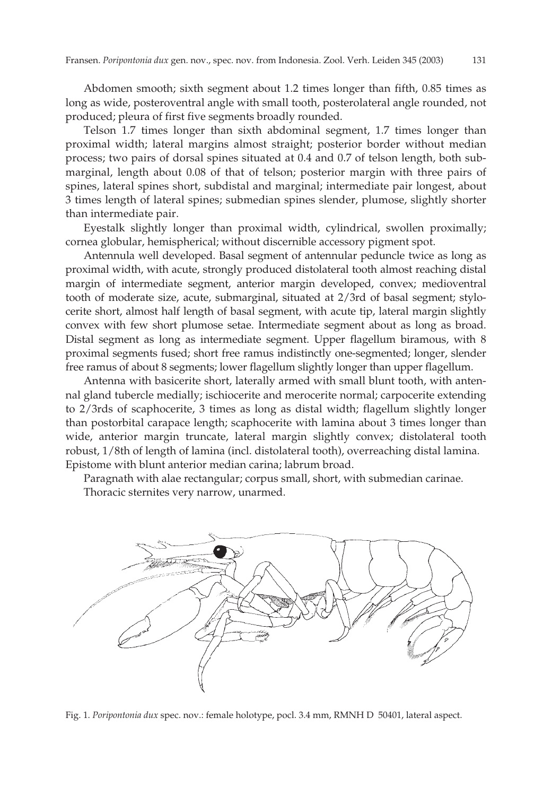Abdomen smooth; sixth segment about 1.2 times longer than fifth, 0.85 times as long as wide, posteroventral angle with small tooth, posterolateral angle rounded, not produced; pleura of first five segments broadly rounded.

Telson 1.7 times longer than sixth abdominal segment, 1.7 times longer than proximal width; lateral margins almost straight; posterior border without median process; two pairs of dorsal spines situated at 0.4 and 0.7 of telson length, both submarginal, length about 0.08 of that of telson; posterior margin with three pairs of spines, lateral spines short, subdistal and marginal; intermediate pair longest, about 3 times length of lateral spines; submedian spines slender, plumose, slightly shorter than intermediate pair.

Eyestalk slightly longer than proximal width, cylindrical, swollen proximally; cornea globular, hemispherical; without discernible accessory pigment spot.

Antennula well developed. Basal segment of antennular peduncle twice as long as proximal width, with acute, strongly produced distolateral tooth almost reaching distal margin of intermediate segment, anterior margin developed, convex; medioventral tooth of moderate size, acute, submarginal, situated at 2/3rd of basal segment; stylocerite short, almost half length of basal segment, with acute tip, lateral margin slightly convex with few short plumose setae. Intermediate segment about as long as broad. Distal segment as long as intermediate segment. Upper flagellum biramous, with 8 proximal segments fused; short free ramus indistinctly one-segmented; longer, slender free ramus of about 8 segments; lower flagellum slightly longer than upper flagellum.

Antenna with basicerite short, laterally armed with small blunt tooth, with antennal gland tubercle medially; ischiocerite and merocerite normal; carpocerite extending to 2/3rds of scaphocerite, 3 times as long as distal width; flagellum slightly longer than postorbital carapace length; scaphocerite with lamina about 3 times longer than wide, anterior margin truncate, lateral margin slightly convex; distolateral tooth robust, 1/8th of length of lamina (incl. distolateral tooth), overreaching distal lamina. Epistome with blunt anterior median carina; labrum broad.

Paragnath with alae rectangular; corpus small, short, with submedian carinae. Thoracic sternites very narrow, unarmed.



Fig. 1. *Poripontonia dux* spec. nov.: female holotype, pocl. 3.4 mm, RMNH D 50401, lateral aspect.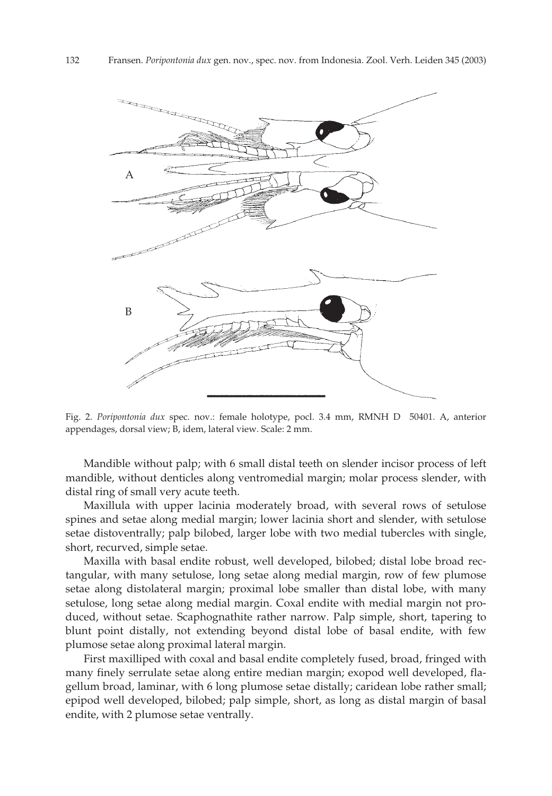

Fig. 2. *Poripontonia dux* spec. nov.: female holotype, pocl. 3.4 mm, RMNH D 50401. A, anterior appendages, dorsal view; B, idem, lateral view. Scale: 2 mm.

Mandible without palp; with 6 small distal teeth on slender incisor process of left mandible, without denticles along ventromedial margin; molar process slender, with distal ring of small very acute teeth.

Maxillula with upper lacinia moderately broad, with several rows of setulose spines and setae along medial margin; lower lacinia short and slender, with setulose setae distoventrally; palp bilobed, larger lobe with two medial tubercles with single, short, recurved, simple setae.

Maxilla with basal endite robust, well developed, bilobed; distal lobe broad rectangular, with many setulose, long setae along medial margin, row of few plumose setae along distolateral margin; proximal lobe smaller than distal lobe, with many setulose, long setae along medial margin. Coxal endite with medial margin not produced, without setae. Scaphognathite rather narrow. Palp simple, short, tapering to blunt point distally, not extending beyond distal lobe of basal endite, with few plumose setae along proximal lateral margin.

First maxilliped with coxal and basal endite completely fused, broad, fringed with many finely serrulate setae along entire median margin; exopod well developed, flagellum broad, laminar, with 6 long plumose setae distally; caridean lobe rather small; epipod well developed, bilobed; palp simple, short, as long as distal margin of basal endite, with 2 plumose setae ventrally.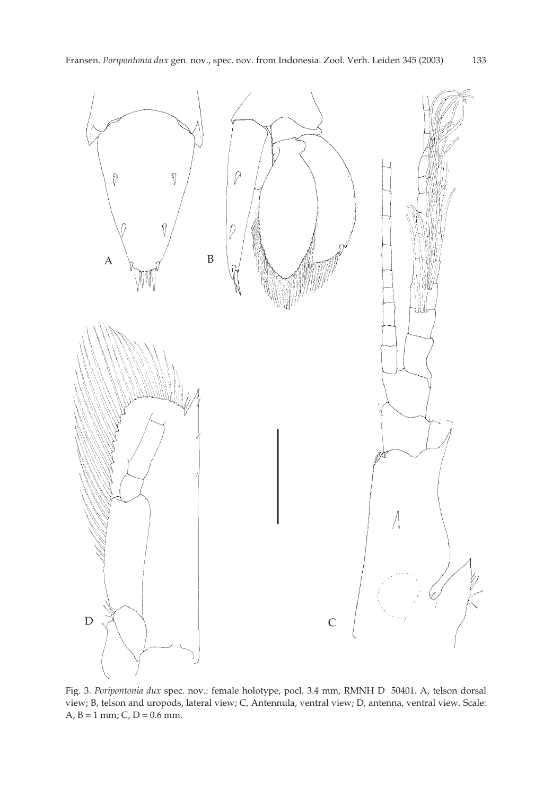

Fig. 3. *Poripontonia dux* spec. nov.: female holotype, pocl. 3.4 mm, RMNH D 50401. A, telson dorsal view; B, telson and uropods, lateral view; C, Antennula, ventral view; D, antenna, ventral view. Scale: A,  $B = 1$  mm; C, D = 0.6 mm.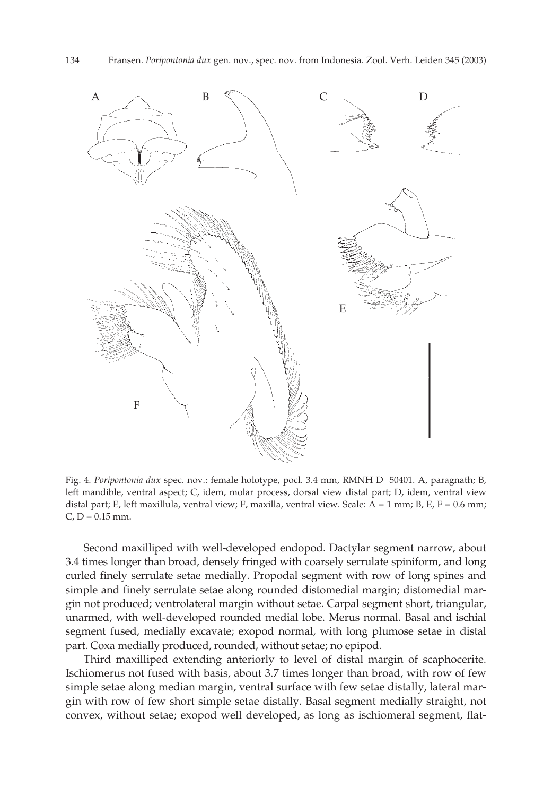

Fig. 4. *Poripontonia dux* spec. nov.: female holotype, pocl. 3.4 mm, RMNH D 50401. A, paragnath; B, left mandible, ventral aspect; C, idem, molar process, dorsal view distal part; D, idem, ventral view distal part; E, left maxillula, ventral view; F, maxilla, ventral view. Scale: A = 1 mm; B, E, F = 0.6 mm;  $C$ ,  $D = 0.15$  mm.

Second maxilliped with well-developed endopod. Dactylar segment narrow, about 3.4 times longer than broad, densely fringed with coarsely serrulate spiniform, and long curled finely serrulate setae medially. Propodal segment with row of long spines and simple and finely serrulate setae along rounded distomedial margin; distomedial margin not produced; ventrolateral margin without setae. Carpal segment short, triangular, unarmed, with well-developed rounded medial lobe. Merus normal. Basal and ischial segment fused, medially excavate; exopod normal, with long plumose setae in distal part. Coxa medially produced, rounded, without setae; no epipod.

Third maxilliped extending anteriorly to level of distal margin of scaphocerite. Ischiomerus not fused with basis, about 3.7 times longer than broad, with row of few simple setae along median margin, ventral surface with few setae distally, lateral margin with row of few short simple setae distally. Basal segment medially straight, not convex, without setae; exopod well developed, as long as ischiomeral segment, flat-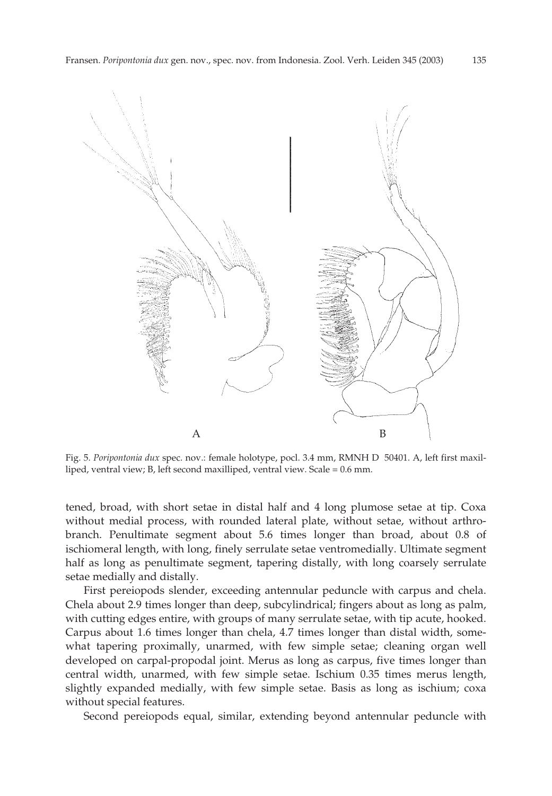

Fig. 5. *Poripontonia dux* spec. nov.: female holotype, pocl. 3.4 mm, RMNH D 50401. A, left first maxilliped, ventral view; B, left second maxilliped, ventral view. Scale = 0.6 mm.

tened, broad, with short setae in distal half and 4 long plumose setae at tip. Coxa without medial process, with rounded lateral plate, without setae, without arthrobranch. Penultimate segment about 5.6 times longer than broad, about 0.8 of ischiomeral length, with long, finely serrulate setae ventromedially. Ultimate segment half as long as penultimate segment, tapering distally, with long coarsely serrulate setae medially and distally.

First pereiopods slender, exceeding antennular peduncle with carpus and chela. Chela about 2.9 times longer than deep, subcylindrical; fingers about as long as palm, with cutting edges entire, with groups of many serrulate setae, with tip acute, hooked. Carpus about 1.6 times longer than chela, 4.7 times longer than distal width, somewhat tapering proximally, unarmed, with few simple setae; cleaning organ well developed on carpal-propodal joint. Merus as long as carpus, five times longer than central width, unarmed, with few simple setae. Ischium 0.35 times merus length, slightly expanded medially, with few simple setae. Basis as long as ischium; coxa without special features.

Second pereiopods equal, similar, extending beyond antennular peduncle with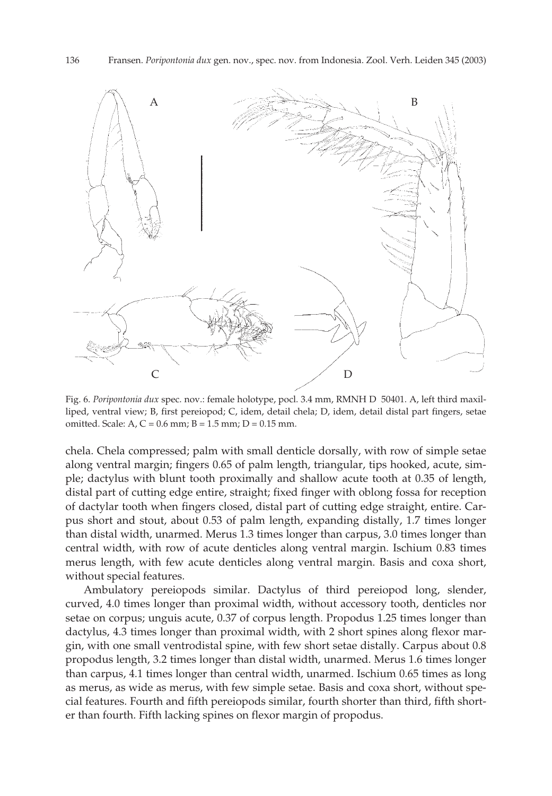

Fig. 6. *Poripontonia dux* spec. nov.: female holotype, pocl. 3.4 mm, RMNH D 50401. A, left third maxilliped, ventral view; B, first pereiopod; C, idem, detail chela; D, idem, detail distal part fingers, setae omitted. Scale: A,  $C = 0.6$  mm; B = 1.5 mm; D = 0.15 mm.

chela. Chela compressed; palm with small denticle dorsally, with row of simple setae along ventral margin; fingers 0.65 of palm length, triangular, tips hooked, acute, simple; dactylus with blunt tooth proximally and shallow acute tooth at 0.35 of length, distal part of cutting edge entire, straight; fixed finger with oblong fossa for reception of dactylar tooth when fingers closed, distal part of cutting edge straight, entire. Carpus short and stout, about 0.53 of palm length, expanding distally, 1.7 times longer than distal width, unarmed. Merus 1.3 times longer than carpus, 3.0 times longer than central width, with row of acute denticles along ventral margin. Ischium 0.83 times merus length, with few acute denticles along ventral margin. Basis and coxa short, without special features.

Ambulatory pereiopods similar. Dactylus of third pereiopod long, slender, curved, 4.0 times longer than proximal width, without accessory tooth, denticles nor setae on corpus; unguis acute, 0.37 of corpus length. Propodus 1.25 times longer than dactylus, 4.3 times longer than proximal width, with 2 short spines along flexor margin, with one small ventrodistal spine, with few short setae distally. Carpus about 0.8 propodus length, 3.2 times longer than distal width, unarmed. Merus 1.6 times longer than carpus, 4.1 times longer than central width, unarmed. Ischium 0.65 times as long as merus, as wide as merus, with few simple setae. Basis and coxa short, without special features. Fourth and fifth pereiopods similar, fourth shorter than third, fifth shorter than fourth. Fifth lacking spines on flexor margin of propodus.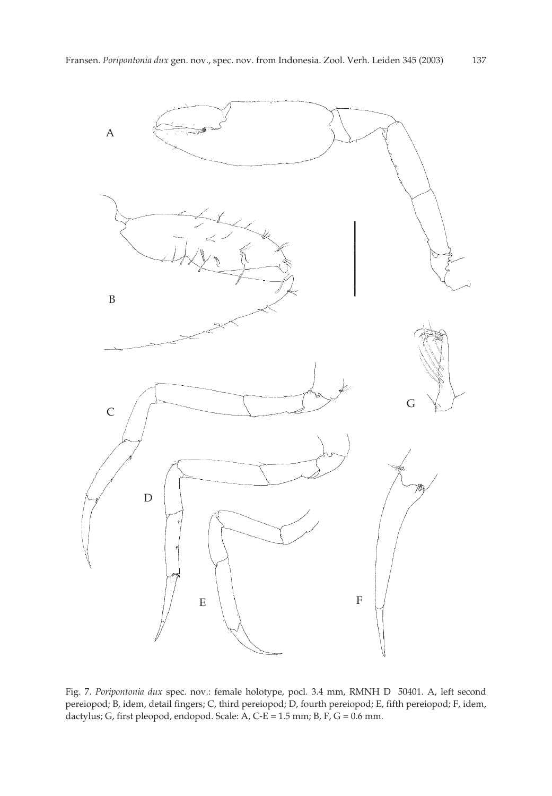

Fig. 7. *Poripontonia dux* spec. nov.: female holotype, pocl. 3.4 mm, RMNH D 50401. A, left second pereiopod; B, idem, detail fingers; C, third pereiopod; D, fourth pereiopod; E, fifth pereiopod; F, idem, dactylus; G, first pleopod, endopod. Scale: A, C-E = 1.5 mm; B, F, G = 0.6 mm.